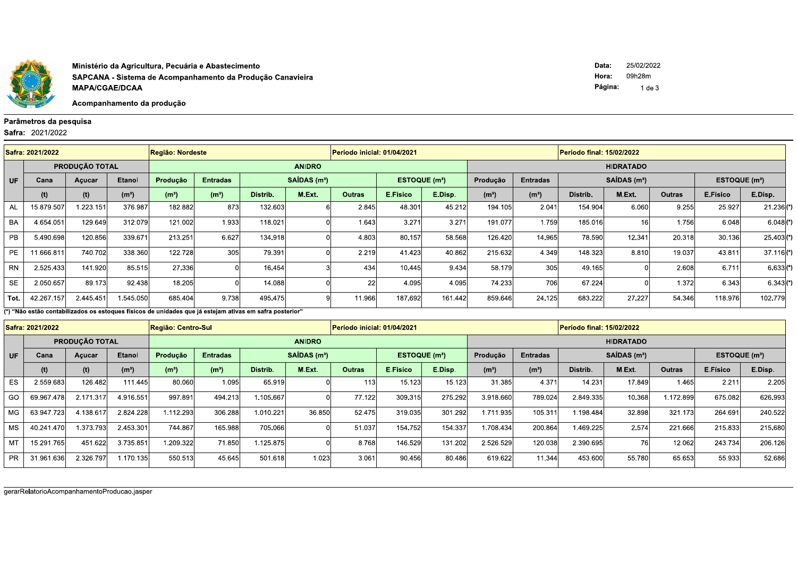

Ministério da Agricultura, Pecuária e Abastecimento SAPCANA - Sistema de Acompanhamento da Produção Canavieira **MAPA/CGAE/DCAA** 

Acompanhamento da produção

## Parâmetros da pesquisa

Safra: 2021/2022

|           | Safra: 2021/2022 |                       |                   | <b>Região: Nordeste</b> |                                                        |          |               | Período inicial: 01/04/2021 |                           |                  |                   |                   | <b>Período final: 15/02/2022</b> |                 |                           |          |              |  |
|-----------|------------------|-----------------------|-------------------|-------------------------|--------------------------------------------------------|----------|---------------|-----------------------------|---------------------------|------------------|-------------------|-------------------|----------------------------------|-----------------|---------------------------|----------|--------------|--|
|           |                  | <b>PRODUÇÃO TOTAL</b> |                   |                         |                                                        |          | <b>ANIDRO</b> |                             |                           | <b>HIDRATADO</b> |                   |                   |                                  |                 |                           |          |              |  |
| UF        | Cana             | Açucar                | <b>Etanol</b>     |                         | SAIDAS(m <sup>3</sup> )<br><b>Entradas</b><br>Produção |          |               |                             | ESTOQUE (m <sup>3</sup> ) | Produção         | Entradas          |                   | $SAIDAS$ (m <sup>3</sup> )       |                 | ESTOQUE (m <sup>3</sup> ) |          |              |  |
|           | (t)              | (t)                   | (m <sup>3</sup> ) | (m <sup>3</sup> )       | (m <sup>3</sup> )                                      | Distrib. | M.Ext.        | <b>Outras</b>               | E.Físico                  | E.Disp.          | (m <sup>3</sup> ) | (m <sup>3</sup> ) | Distrib.                         | M.Ext.          | Outras                    | E.Físico | E.Disp.      |  |
| <b>AL</b> | 15.879.507       | 1.223.151             | 376.987           | 182.882                 | 873                                                    | 132.603  |               | 2.845                       | 48.301                    | 45.212           | 194.105           | 2.041             | 154.904                          | 6.060           | 9.255                     | 25.927   | $21.236($ *) |  |
| <b>BA</b> | 4.654.051        | 129.649               | 312.079           | 121.002                 | 1.933                                                  | 118.021  |               | 1.643                       | 3.27 <sup>′</sup>         | 3.271            | 191.077           | 1.759             | 185.016                          | 16 <sub>i</sub> | 1.756                     | 6.048    | $6.048(*)$   |  |
| <b>PB</b> | 5.490.698        | 120.856               | 339.671           | 213.251                 | 6.627                                                  | 134.918  |               | 4.803                       | 80.157                    | 58.568           | 126.420           | 14.965            | 78.590                           | 12.341          | 20.318                    | 30.136   | $25.403($ *) |  |
| PE        | 11.666.811       | 740.702               | 338.360           | 122.728                 | 305                                                    | 79.391   |               | 2.219                       | 41.423                    | 40.862           | 215.632           | 4.349             | 148.323                          | 8.810           | 19.037                    | 43.811   | 37.116(')    |  |
| <b>RN</b> | 2.525.433        | 141.920               | 85.515            | 27.336                  |                                                        | 16.454   |               | 434                         | 10.445                    | 9.434            | 58.179            | 305               | 49.165                           |                 | 2.608                     | 6.711    | $6.633(*)$   |  |
| <b>SE</b> | 2.050.657        | 89.173                | 92.438            | 18.205                  |                                                        | 14.088   |               | <b>22</b>                   | 4.095                     | 4.095            | 74.233            | 706               | 67.224                           |                 | 1.372                     | 6.343    | $6.343(*)$   |  |
| Tot.      | 42.267.157       | 2.445.451             | 1.545.050         | 685.404                 | 9.738                                                  | 495.475  |               | 11.966                      | 187.692                   | 161.442          | 859.646           | 24.125            | 683.222                          | 27.227          | 54.346                    | 118.976  | 102.779      |  |

(\*) "Não estão contabilizados os estogues físicos de unidades que já estejam ativas em safra posterior"

|           | Safra: 2021/2022 |                       |                   | Região: Centro-Sul |                   |           |                         | Período inicial: 01/04/2021      |          |                  |                   |                   | <b>Período final: 15/02/2022</b> |                            |           |                          |         |  |
|-----------|------------------|-----------------------|-------------------|--------------------|-------------------|-----------|-------------------------|----------------------------------|----------|------------------|-------------------|-------------------|----------------------------------|----------------------------|-----------|--------------------------|---------|--|
|           |                  | <b>PRODUÇÃO TOTAL</b> |                   |                    |                   |           | <b>ANIDRO</b>           |                                  |          | <b>HIDRATADO</b> |                   |                   |                                  |                            |           |                          |         |  |
| <b>UF</b> | Cana             | Acucar                | <b>Etanol</b>     | Produção           | <b>Entradas</b>   |           | SAIDAS(m <sup>3</sup> ) | <b>ESTOQUE</b> (m <sup>3</sup> ) |          |                  | Produção          | <b>Entradas</b>   |                                  | $SAIDAS$ (m <sup>3</sup> ) |           | ESTOQUE(m <sup>3</sup> ) |         |  |
|           | (t)              | (t)                   | (m <sup>3</sup> ) | (m <sup>3</sup> )  | (m <sup>3</sup> ) | Distrib.  | M.Ext.                  | <b>Outras</b>                    | E.Físico | E.Disp.          | (m <sup>3</sup> ) | (m <sup>3</sup> ) | Distrib.                         | M.Ext.                     | Outras    | E.Físico                 | E.Disp. |  |
| ES        | 2.559.683        | 126.482               | 111.445           | 80.060             | 1.095             | 65.919    |                         | 113                              | 15.123   | 15.123           | 31.385            | 4.371             | 14.231                           | 17.849                     | 1.465     | 2.211                    | 2.205   |  |
| GO        | 69.967.478       | 2.171.317             | 4.916.551         | 997.891            | 494.213           | 1.105.667 |                         | 77.122                           | 309.315  | 275.292          | 3.918.660         | 789.024           | 2.849.335                        | 10.368                     | 1.172.899 | 675.082                  | 626.993 |  |
| MG        | 63.947.723       | 4.138.617             | 2.824.228         | 1.112.293          | 306.288           | 1.010.221 | 36.850                  | 52.475                           | 319.035  | 301.292          | 1.711.935         | 105.311           | 1.198.484                        | 32.898                     | 321.173   | 264.691                  | 240.522 |  |
| MS.       | 40.241.470       | 1.373.793             | 2.453.301         | 744.867            | 165.988           | 705.066   |                         | 51.037                           | 154.752  | 154.337          | 1.708.434         | 200.864           | .469.225                         | 2.574                      | 221.666   | 215.833                  | 215.680 |  |
| MТ        | 15.291.765       | 451.622               | 3.735.851         | 1.209.322          | 71.850            | 1.125.875 |                         | 8.768                            | 146.529  | 131.202          | 2.526.529         | 120.038           | 2.390.695                        |                            | 12.062    | 243.734                  | 206.126 |  |
| PR.       | 31.961.636       | 2.326.797             | 1.170.135         | 550.513            | 45.645            | 501.618   | 1.023                   | 3.061                            | 90.456   | 80.486           | 619.622           | 11.344            | 453.600                          | 55.780                     | 65.653    | 55.933                   | 52.686  |  |

gerarRelatorioAcompanhamentoProducao.jasper

25/02/2022 Data: Hora: 09h28m Página: 1 de 3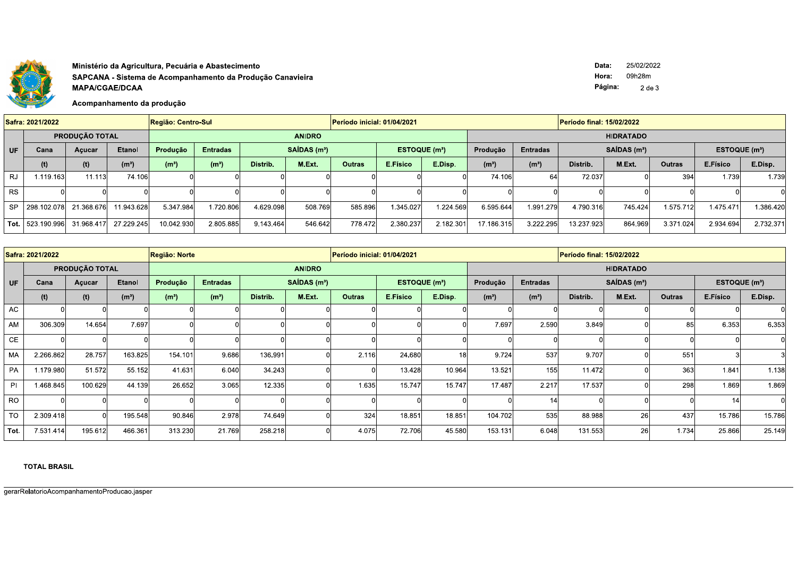

## Ministério da Agricultura, Pecuária e Abastecimento SAPCANA - Sistema de Acompanhamento da Produção Canavieira **MAPA/CGAE/DCAA**

Acompanhamento da produção

Data: 25/02/2022 Hora: 09h28m Página:  $2$  de  $3$ 

|           | Safra: 2021/2022                |                |                   | Região: Centro-Sul_ |                   |                   |               | Período inicial: 01/04/2021 |                           |           |                   |                   | Período final: 15/02/2022 |                           |               |           |           |  |
|-----------|---------------------------------|----------------|-------------------|---------------------|-------------------|-------------------|---------------|-----------------------------|---------------------------|-----------|-------------------|-------------------|---------------------------|---------------------------|---------------|-----------|-----------|--|
|           |                                 | PRODUÇÃO TOTAL |                   |                     |                   |                   | <b>ANIDRO</b> |                             |                           |           |                   |                   |                           | <b>HIDRATADO</b>          |               |           |           |  |
| UF        | <b>Etanol</b><br>Cana<br>Açucar |                | Produção          | <b>Entradas</b>     |                   | $SAIDAS$ ( $m3$ ) |               |                             | ESTOQUE (m <sup>3</sup> ) |           | <b>Entradas</b>   |                   | $SAIDAS$ ( $m3$ )         | ESTOQUE (m <sup>3</sup> ) |               |           |           |  |
|           | (t)                             | (t)            | (m <sup>3</sup> ) | (m <sup>3</sup> )   | (m <sup>3</sup> ) | Distrib.          | M.Ext.        | <b>Outras</b>               | E.Físico                  | E.Disp.   | (m <sup>3</sup> ) | (m <sup>3</sup> ) | Distrib.                  | M.Ext.                    | <b>Outras</b> | E.Físico  | E.Disp.   |  |
| RJ        | 1.119.163                       | 11.113         | 74.106            |                     |                   |                   |               |                             |                           |           | 74.106            | 64l               | 72.037                    |                           | 394           | 1.739     | 1.739     |  |
| <b>RS</b> |                                 |                |                   |                     |                   |                   |               |                             |                           |           |                   |                   |                           |                           |               |           |           |  |
| <b>SP</b> | 298.102.078                     | 21.368.676     | 1.943.628         | 5.347.984           | 1.720.806         | 4.629.098         | 508.769       | 585.896                     | 1.345.027                 | 1.224.569 | 6.595.644         | 1.991.279         | 4.790.316                 | 745.424                   | 1.575.712     | 1.475.471 | 1.386.420 |  |
|           | <b>Tot.</b> $  523.190.996 $    | 31.968.417     | 27.229.245        | 10.042.930          | 2.805.885         | 9.143.464         | 546.642       | 778.472                     | 2.380.237                 | 2.182.301 | 17.186.315        | 3.222.295         | 13.237.923                | 864.969                   | 3.371.024     | 2.934.694 | 2.732.371 |  |

| Safra: 2021/2022 |           |                |                   | Região: Norte     |                   |          |                         | Período inicial: 01/04/2021 |                           |                 |                   |                   | Período final: 15/02/2022 |                          |               |                 |         |  |
|------------------|-----------|----------------|-------------------|-------------------|-------------------|----------|-------------------------|-----------------------------|---------------------------|-----------------|-------------------|-------------------|---------------------------|--------------------------|---------------|-----------------|---------|--|
|                  |           | PRODUÇÃO TOTAL |                   |                   |                   |          | <b>ANIDRO</b>           |                             |                           |                 |                   |                   |                           | <b>HIDRATADO</b>         |               |                 |         |  |
| <b>UF</b>        | Cana      | Açucar         | <b>Etanol</b>     | Produção          | <b>Entradas</b>   |          | SAIDAS(m <sup>3</sup> ) |                             | ESTOQUE (m <sup>3</sup> ) |                 | Produção          | <b>Entradas</b>   |                           | SAÍDAS (m <sup>3</sup> ) |               | ESTOQUE $(m^3)$ |         |  |
|                  | (t)       | (t)            | (m <sup>3</sup> ) | (m <sup>3</sup> ) | (m <sup>3</sup> ) | Distrib. | M.Ext.                  | <b>Outras</b>               | E.Físico                  | E.Disp.         | (m <sup>3</sup> ) | (m <sup>3</sup> ) | Distrib.                  | M.Ext.                   | <b>Outras</b> | E.Físico        | E.Disp. |  |
| AC               |           |                |                   |                   |                   |          |                         |                             |                           |                 |                   |                   |                           |                          |               |                 |         |  |
| AM               | 306.309   | 14.654         | 7.697             |                   |                   |          |                         |                             |                           |                 | 7.697             | 2.590             | 3.849                     |                          | 85            | 6.353           | 6.353   |  |
| CE               |           |                |                   |                   |                   |          |                         |                             |                           |                 |                   |                   |                           |                          |               |                 |         |  |
| MA               | 2.266.862 | 28.757         | 163.825           | 154.101           | 9.686             | 136.991  |                         | 2.116                       | 24.680                    | 18 <sub>l</sub> | 9.724             | 537               | 9.707                     |                          | 551           |                 |         |  |
| PA               | 1.179.980 | 51.572         | 55.152            | 41.631            | 6.040             | 34.243   |                         |                             | 13.428                    | 10.964          | 13.521            | 155               | 11.472                    |                          | 363           | 1.841           | 1.138   |  |
| <b>PI</b>        | 1.468.845 | 100.629        | 44.139            | 26.652            | 3.065             | 12.335   |                         | 1.635                       | 15.747                    | 15.747          | 17.487            | 2.217             | 17.537                    |                          | 298           | 1.869           | 1.869   |  |
| <b>RO</b>        |           |                |                   |                   |                   |          |                         |                             |                           |                 |                   | 14                |                           |                          |               | 14              |         |  |
| <b>TO</b>        | 2.309.418 |                | 195.548           | 90.846            | 2.978             | 74.649   |                         | 324                         | 18.851                    | 18.851          | 104.702           | 535               | 88.988                    | 26                       | 437           | 15.786          | 15.786  |  |
| Tot.             | 7.531.414 | 195.612        | 466.361           | 313.230           | 21.769            | 258.218  |                         | 4.075                       | 72.706                    | 45.580          | 153.131           | 6.048             | 131.553                   | 26                       | 1.734         | 25.866          | 25.149  |  |

**TOTAL BRASIL**